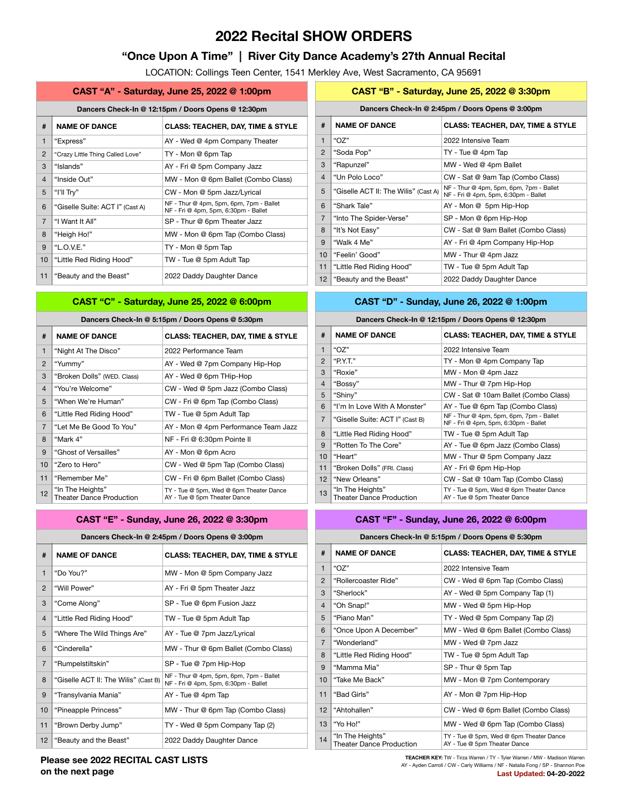# **2022 Recital SHOW ORDERS**

## **"Once Upon A Time" | River City Dance Academy's 27th Annual Recital**

LOCATION: Collings Teen Center, 1541 Merkley Ave, West Sacramento, CA 95691

|                | CAST "A" - Saturday, June 25, 2022 @ 1:00pm                          |                                                                                 |  |  |  |  |
|----------------|----------------------------------------------------------------------|---------------------------------------------------------------------------------|--|--|--|--|
|                | Dancers Check-In @ 12:15pm / Doors Opens @ 12:30pm                   |                                                                                 |  |  |  |  |
| #              | <b>NAME OF DANCE</b><br><b>CLASS: TEACHER, DAY, TIME &amp; STYLE</b> |                                                                                 |  |  |  |  |
| $\mathbf{1}$   | "Express"                                                            | AY - Wed @ 4pm Company Theater                                                  |  |  |  |  |
| $\overline{2}$ | "Crazy Little Thing Called Love"                                     | TY - Mon @ 6pm Tap                                                              |  |  |  |  |
| 3              | "Islands"                                                            | AY - Fri @ 5pm Company Jazz                                                     |  |  |  |  |
| $\overline{4}$ | "Inside Out"                                                         | MW - Mon @ 6pm Ballet (Combo Class)                                             |  |  |  |  |
| 5              | "I'll $\text{Tr}y$ "                                                 | CW - Mon @ 5pm Jazz/Lyrical                                                     |  |  |  |  |
| 6              | "Giselle Suite: ACT I" (Cast A)                                      | NF - Thur @ 4pm, 5pm, 6pm, 7pm - Ballet<br>NF - Fri @ 4pm, 5pm, 6:30pm - Ballet |  |  |  |  |
| $\overline{7}$ | "I Want It All"                                                      | SP - Thur @ 6pm Theater Jazz                                                    |  |  |  |  |
| 8              | "Heigh Ho!"                                                          | MW - Mon @ 6pm Tap (Combo Class)                                                |  |  |  |  |
| 9              | "L.O.V.E."                                                           | TY - Mon @ 5pm Tap                                                              |  |  |  |  |
| 10             | "Little Red Riding Hood"                                             | TW - Tue @ 5pm Adult Tap                                                        |  |  |  |  |
| 11             | "Beauty and the Beast"                                               | 2022 Daddy Daughter Dance                                                       |  |  |  |  |

## **CAST "C" - Saturday, June 25, 2022 @ 6:00pm**

### **Dancers Check-In @ 5:15pm / Doors Opens @ 5:30pm**

| #              | <b>NAME OF DANCE</b>                                | <b>CLASS: TEACHER, DAY, TIME &amp; STYLE</b>                            |
|----------------|-----------------------------------------------------|-------------------------------------------------------------------------|
| 1              | "Night At The Disco"                                | 2022 Performance Team                                                   |
| $\overline{2}$ | "Yummy"                                             | AY - Wed @ 7pm Company Hip-Hop                                          |
| 3              | "Broken Dolls" (WED. Class)                         | AY - Wed @ 6pm THip-Hop                                                 |
| $\overline{4}$ | "You're Welcome"                                    | CW - Wed @ 5pm Jazz (Combo Class)                                       |
| 5              | "When We're Human"                                  | CW - Fri @ 6pm Tap (Combo Class)                                        |
| 6              | "Little Red Riding Hood"                            | TW - Tue @ 5pm Adult Tap                                                |
| $\overline{7}$ | "Let Me Be Good To You"                             | AY - Mon @ 4pm Performance Team Jazz                                    |
| 8              | "Mark 4"                                            | NF - Fri @ 6:30pm Pointe II                                             |
| 9              | "Ghost of Versailles"                               | AY - Mon @ 6pm Acro                                                     |
| 10             | "Zero to Hero"                                      | CW - Wed @ 5pm Tap (Combo Class)                                        |
| 11             | "Remember Me"                                       | CW - Fri @ 6pm Ballet (Combo Class)                                     |
| 12             | "In The Heights"<br><b>Theater Dance Production</b> | TY - Tue @ 5pm, Wed @ 6pm Theater Dance<br>AY - Tue @ 5pm Theater Dance |

|                | CAST "E" - Sunday, June 26, 2022 @ 3:30pm        |                                                                                 |  |  |  |  |
|----------------|--------------------------------------------------|---------------------------------------------------------------------------------|--|--|--|--|
|                | Dancers Check-In @ 2:45pm / Doors Opens @ 3:00pm |                                                                                 |  |  |  |  |
| #              | <b>NAME OF DANCE</b>                             | <b>CLASS: TEACHER, DAY, TIME &amp; STYLE</b>                                    |  |  |  |  |
| $\mathbf{1}$   | "Do You?"                                        | MW - Mon @ 5pm Company Jazz                                                     |  |  |  |  |
| 2              | "Will Power"                                     | AY - Fri @ 5pm Theater Jazz                                                     |  |  |  |  |
| 3              | "Come Along"                                     | SP - Tue @ 6pm Fusion Jazz                                                      |  |  |  |  |
| $\overline{4}$ | "Little Red Riding Hood"                         | TW - Tue @ 5pm Adult Tap                                                        |  |  |  |  |
| 5              | "Where The Wild Things Are"                      | AY - Tue @ 7pm Jazz/Lyrical                                                     |  |  |  |  |
| 6              | "Cinderella"                                     | MW - Thur @ 6pm Ballet (Combo Class)                                            |  |  |  |  |
| $\overline{7}$ | "Rumpelstiltskin"                                | SP - Tue @ 7pm Hip-Hop                                                          |  |  |  |  |
| 8              | "Giselle ACT II: The Wilis" (Cast B)             | NF - Thur @ 4pm, 5pm, 6pm, 7pm - Ballet<br>NF - Fri @ 4pm, 5pm, 6:30pm - Ballet |  |  |  |  |
| 9              | "Transylvania Mania"                             | AY - Tue @ 4pm Tap                                                              |  |  |  |  |
| 10             | "Pineapple Princess"                             | MW - Thur @ 6pm Tap (Combo Class)                                               |  |  |  |  |
| 11             | "Brown Derby Jump"                               | TY - Wed @ 5pm Company Tap (2)                                                  |  |  |  |  |
| 12             | "Beauty and the Beast"                           | 2022 Daddy Daughter Dance                                                       |  |  |  |  |

|                 | CAST "B" - Saturday, June 25, 2022 @ 3:30pm                          |                                                                                 |  |  |  |  |  |
|-----------------|----------------------------------------------------------------------|---------------------------------------------------------------------------------|--|--|--|--|--|
|                 | Dancers Check-In @ 2:45pm / Doors Opens @ 3:00pm                     |                                                                                 |  |  |  |  |  |
| #               | <b>NAME OF DANCE</b><br><b>CLASS: TEACHER, DAY, TIME &amp; STYLE</b> |                                                                                 |  |  |  |  |  |
| $\mathbf{1}$    | " $OZ$ "                                                             | 2022 Intensive Team                                                             |  |  |  |  |  |
| 2               | "Soda Pop"                                                           | TY - Tue @ 4pm Tap                                                              |  |  |  |  |  |
| 3               | "Rapunzel"                                                           | MW - Wed @ 4pm Ballet                                                           |  |  |  |  |  |
| $\overline{4}$  | "Un Polo Loco"                                                       | CW - Sat @ 9am Tap (Combo Class)                                                |  |  |  |  |  |
| 5               | "Giselle ACT II: The Wilis" (Cast A)                                 | NF - Thur @ 4pm, 5pm, 6pm, 7pm - Ballet<br>NF - Fri @ 4pm, 5pm, 6:30pm - Ballet |  |  |  |  |  |
| 6               | "Shark Tale"                                                         | AY - Mon @ 5pm Hip-Hop                                                          |  |  |  |  |  |
| $\overline{7}$  | "Into The Spider-Verse"                                              | SP - Mon @ 6pm Hip-Hop                                                          |  |  |  |  |  |
| 8               | "It's Not Easy"                                                      | CW - Sat @ 9am Ballet (Combo Class)                                             |  |  |  |  |  |
| 9               | "Walk 4 Me"                                                          | AY - Fri @ 4pm Company Hip-Hop                                                  |  |  |  |  |  |
| 10              | "Feelin' Good"                                                       | MW - Thur @ 4pm Jazz                                                            |  |  |  |  |  |
| 11              | "Little Red Riding Hood"                                             | TW - Tue @ 5pm Adult Tap                                                        |  |  |  |  |  |
| 12 <sup>2</sup> | "Beauty and the Beast"                                               | 2022 Daddy Daughter Dance                                                       |  |  |  |  |  |

### **CAST "D" - Sunday, June 26, 2022 @ 1:00pm**

#### **Dancers Check-In @ 12:15pm / Doors Opens @ 12:30pm**

| #                 | <b>NAME OF DANCE</b>                                | <b>CLASS: TEACHER, DAY, TIME &amp; STYLE</b>                                    |
|-------------------|-----------------------------------------------------|---------------------------------------------------------------------------------|
| 1                 | "OZ"                                                | 2022 Intensive Team                                                             |
| $\overline{2}$    | " $PY.T."$                                          | TY - Mon @ 4pm Company Tap                                                      |
| 3                 | "Roxie"                                             | MW - Mon @ 4pm Jazz                                                             |
| 4                 | "Bossy"                                             | MW - Thur @ 7pm Hip-Hop                                                         |
| 5                 | "Shiny"                                             | CW - Sat @ 10am Ballet (Combo Class)                                            |
| 6                 | "I'm In Love With A Monster"                        | AY - Tue @ 6pm Tap (Combo Class)                                                |
| $\overline{7}$    | "Giselle Suite: ACT I" (Cast B)                     | NF - Thur @ 4pm, 5pm, 6pm, 7pm - Ballet<br>NF - Fri @ 4pm, 5pm, 6:30pm - Ballet |
| 8                 | "Little Red Riding Hood"                            | TW - Tue @ 5pm Adult Tap                                                        |
| 9                 | "Rotten To The Core"                                | AY - Tue @ 6pm Jazz (Combo Class)                                               |
| 10                | "Heart"                                             | MW - Thur @ 5pm Company Jazz                                                    |
| 11                | "Broken Dolls" (FRI. Class)                         | AY - Fri @ 6pm Hip-Hop                                                          |
| $12 \overline{ }$ | "New Orleans"                                       | CW - Sat @ 10am Tap (Combo Class)                                               |
| 13                | "In The Heights"<br><b>Theater Dance Production</b> | TY - Tue @ 5pm, Wed @ 6pm Theater Dance<br>AY - Tue @ 5pm Theater Dance         |

### **CAST "F" - Sunday, June 26, 2022 @ 6:00pm**

#### **Dancers Check-In @ 5:15pm / Doors Opens @ 5:30pm**

| #              | <b>NAME OF DANCE</b>                                | <b>CLASS: TEACHER, DAY, TIME &amp; STYLE</b>                            |  |  |  |
|----------------|-----------------------------------------------------|-------------------------------------------------------------------------|--|--|--|
| 1              | " $OZ$ "                                            | 2022 Intensive Team                                                     |  |  |  |
| 2              | "Rollercoaster Ride"                                | CW - Wed @ 6pm Tap (Combo Class)                                        |  |  |  |
| 3              | "Sherlock"                                          | AY - Wed @ 5pm Company Tap (1)                                          |  |  |  |
| $\overline{4}$ | "Oh Snap!"                                          | MW - Wed @ 5pm Hip-Hop                                                  |  |  |  |
| 5              | "Piano Man"                                         | TY - Wed @ 5pm Company Tap (2)                                          |  |  |  |
| 6              | "Once Upon A December"                              | MW - Wed @ 6pm Ballet (Combo Class)                                     |  |  |  |
| $\overline{7}$ | "Wonderland"                                        | MW - Wed @ 7pm Jazz                                                     |  |  |  |
| 8              | "Little Red Riding Hood"                            | TW - Tue @ 5pm Adult Tap                                                |  |  |  |
| 9              | "Mamma Mia"                                         | SP - Thur @ 5pm Tap                                                     |  |  |  |
| 10             | "Take Me Back"                                      | MW - Mon @ 7pm Contemporary                                             |  |  |  |
| 11             | "Bad Girls"                                         | AY - Mon @ 7pm Hip-Hop                                                  |  |  |  |
| 12             | "Ahtohallen"                                        | CW - Wed @ 6pm Ballet (Combo Class)                                     |  |  |  |
| 13             | "Yo Ho!"                                            | MW - Wed @ 6pm Tap (Combo Class)                                        |  |  |  |
| 14             | "In The Heights"<br><b>Theater Dance Production</b> | TY - Tue @ 5pm, Wed @ 6pm Theater Dance<br>AY - Tue @ 5pm Theater Dance |  |  |  |

**Please see 2022 RECITAL CAST LISTS on the next page**

**TEACHER KEY:** TW - Tirza Warren / TY - Tyler Warren / MW - Madison Warren AY - Ayden Carroll / CW - Carly Williams / NF - Natalia Fong / SP - Shannon Poe **Last Updated: 04-20-2022**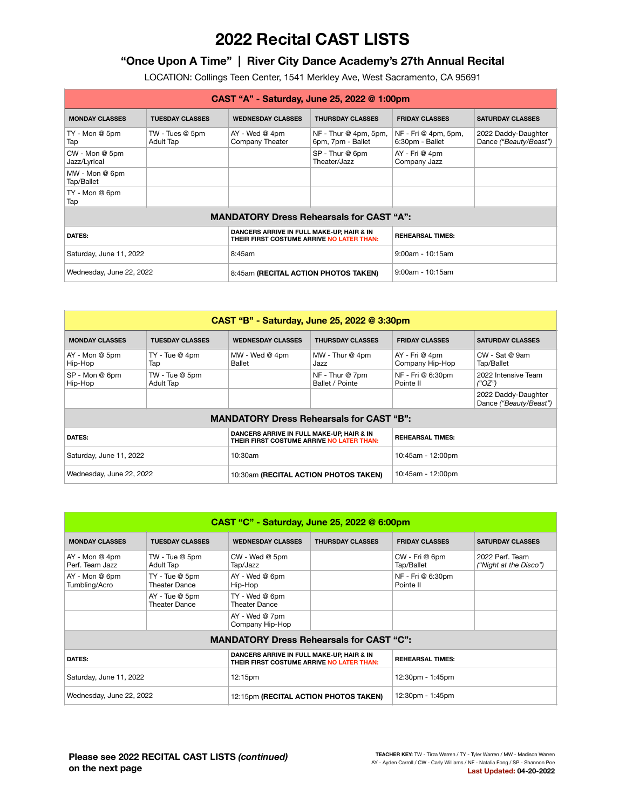# **2022 Recital CAST LISTS**

## **"Once Upon A Time" | River City Dance Academy's 27th Annual Recital**

LOCATION: Collings Teen Center, 1541 Merkley Ave, West Sacramento, CA 95691

| CAST "A" - Saturday, June 25, 2022 @ 1:00pm     |                                |                                                                                        |                                            |                                         |                                               |  |  |
|-------------------------------------------------|--------------------------------|----------------------------------------------------------------------------------------|--------------------------------------------|-----------------------------------------|-----------------------------------------------|--|--|
| <b>MONDAY CLASSES</b>                           | <b>TUESDAY CLASSES</b>         | <b>WEDNESDAY CLASSES</b>                                                               | <b>THURSDAY CLASSES</b>                    | <b>FRIDAY CLASSES</b>                   | <b>SATURDAY CLASSES</b>                       |  |  |
| TY - Mon @ 5pm<br>Tap                           | $TW - Tues @ 5pm$<br>Adult Tap | $AY - Wed @ 4pm$<br>Company Theater                                                    | $NF - Thur@4pm, 5pm,$<br>6pm, 7pm - Ballet | NF - Fri @ 4pm, 5pm,<br>6:30pm - Ballet | 2022 Daddy-Daughter<br>Dance ("Beauty/Beast") |  |  |
| CW - Mon @ 5pm<br>Jazz/Lyrical                  |                                |                                                                                        | SP - Thur @ 6pm<br>Theater/Jazz            | AY - Fri @ 4pm<br>Company Jazz          |                                               |  |  |
| MW - Mon @ 6pm<br>Tap/Ballet                    |                                |                                                                                        |                                            |                                         |                                               |  |  |
| TY - Mon @ 6pm<br>Tap                           |                                |                                                                                        |                                            |                                         |                                               |  |  |
| <b>MANDATORY Dress Rehearsals for CAST "A":</b> |                                |                                                                                        |                                            |                                         |                                               |  |  |
| DATES:                                          |                                | DANCERS ARRIVE IN FULL MAKE-UP, HAIR & IN<br>THEIR FIRST COSTUME ARRIVE NO LATER THAN: |                                            | <b>REHEARSAL TIMES:</b>                 |                                               |  |  |
| Saturday, June 11, 2022                         |                                | 8:45am                                                                                 |                                            | $9:00$ am - 10:15am                     |                                               |  |  |
| Wednesday, June 22, 2022                        |                                | 8:45am (RECITAL ACTION PHOTOS TAKEN)                                                   |                                            | $9:00$ am - 10:15am                     |                                               |  |  |

| CAST "B" - Saturday, June 25, 2022 @ 3:30pm     |                                    |                                                                                        |                                    |                                   |                                               |  |  |
|-------------------------------------------------|------------------------------------|----------------------------------------------------------------------------------------|------------------------------------|-----------------------------------|-----------------------------------------------|--|--|
| <b>MONDAY CLASSES</b>                           | <b>TUESDAY CLASSES</b>             | <b>WEDNESDAY CLASSES</b>                                                               | <b>THURSDAY CLASSES</b>            | <b>FRIDAY CLASSES</b>             | <b>SATURDAY CLASSES</b>                       |  |  |
| $AY - Mon@5pm$<br>Hip-Hop                       | TY - Tue @ 4pm<br>Tap              | $MW - Wed @ 4pm$<br>Ballet                                                             | MW - Thur @ 4pm<br>Jazz            | AY - Fri @ 4pm<br>Company Hip-Hop | $CW$ - Sat @ 9am<br>Tap/Ballet                |  |  |
| SP - Mon @ 6pm<br>Hip-Hop                       | TW - Tue @ 5pm<br><b>Adult Tap</b> |                                                                                        | NF - Thur @ 7pm<br>Ballet / Pointe | NF - Fri @ 6:30pm<br>Pointe II    | 2022 Intensive Team<br>("OZ")                 |  |  |
|                                                 |                                    |                                                                                        |                                    |                                   | 2022 Daddy-Daughter<br>Dance ("Beauty/Beast") |  |  |
| <b>MANDATORY Dress Rehearsals for CAST "B":</b> |                                    |                                                                                        |                                    |                                   |                                               |  |  |
| <b>DATES:</b>                                   |                                    | DANCERS ARRIVE IN FULL MAKE-UP, HAIR & IN<br>THEIR FIRST COSTUME ARRIVE NO LATER THAN: |                                    | <b>REHEARSAL TIMES:</b>           |                                               |  |  |
| Saturday, June 11, 2022                         |                                    | 10:30am                                                                                |                                    | 10:45am - 12:00pm                 |                                               |  |  |
| Wednesday, June 22, 2022                        |                                    | 10:30am (RECITAL ACTION PHOTOS TAKEN)                                                  |                                    | 10:45am - 12:00pm                 |                                               |  |  |

| CAST "C" - Saturday, June 25, 2022 @ 6:00pm |                                                 |                                                                                        |                         |                                |                                           |  |  |  |
|---------------------------------------------|-------------------------------------------------|----------------------------------------------------------------------------------------|-------------------------|--------------------------------|-------------------------------------------|--|--|--|
| <b>MONDAY CLASSES</b>                       | <b>TUESDAY CLASSES</b>                          | <b>WEDNESDAY CLASSES</b>                                                               | <b>THURSDAY CLASSES</b> | <b>FRIDAY CLASSES</b>          | <b>SATURDAY CLASSES</b>                   |  |  |  |
| AY - Mon @ 4pm<br>Perf. Team Jazz           | TW - Tue @ 5pm<br>Adult Tap                     | CW - Wed @ 5pm<br>Tap/Jazz                                                             |                         | CW - Fri @ 6pm<br>Tap/Ballet   | 2022 Perf. Team<br>("Night at the Disco") |  |  |  |
| AY - Mon @ 6pm<br>Tumbling/Acro             | TY - Tue @ 5pm<br><b>Theater Dance</b>          | AY - Wed @ 6pm<br>Hip-Hop                                                              |                         | NF - Fri @ 6:30pm<br>Pointe II |                                           |  |  |  |
|                                             | AY - Tue @ 5pm<br><b>Theater Dance</b>          | TY - Wed @ 6pm<br><b>Theater Dance</b>                                                 |                         |                                |                                           |  |  |  |
|                                             |                                                 | AY - Wed @ 7pm<br>Company Hip-Hop                                                      |                         |                                |                                           |  |  |  |
|                                             | <b>MANDATORY Dress Rehearsals for CAST "C":</b> |                                                                                        |                         |                                |                                           |  |  |  |
| <b>DATES:</b>                               |                                                 | DANCERS ARRIVE IN FULL MAKE-UP, HAIR & IN<br>THEIR FIRST COSTUME ARRIVE NO LATER THAN: |                         | <b>REHEARSAL TIMES:</b>        |                                           |  |  |  |
| Saturday, June 11, 2022                     |                                                 | 12:15pm                                                                                |                         | 12:30pm - 1:45pm               |                                           |  |  |  |
| Wednesday, June 22, 2022                    |                                                 | 12:15pm (RECITAL ACTION PHOTOS TAKEN)                                                  |                         | 12:30pm - 1:45pm               |                                           |  |  |  |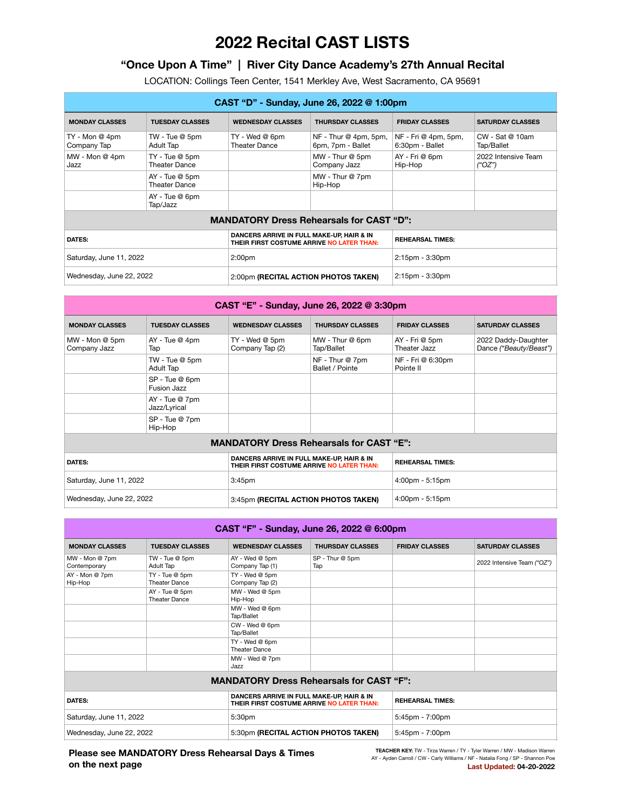# **2022 Recital CAST LISTS**

## **"Once Upon A Time" | River City Dance Academy's 27th Annual Recital**

LOCATION: Collings Teen Center, 1541 Merkley Ave, West Sacramento, CA 95691

| CAST "D" - Sunday, June 26, 2022 @ 1:00pm       |                                        |                                                                                        |                                            |                                         |                                                             |  |  |
|-------------------------------------------------|----------------------------------------|----------------------------------------------------------------------------------------|--------------------------------------------|-----------------------------------------|-------------------------------------------------------------|--|--|
| <b>MONDAY CLASSES</b>                           | <b>TUESDAY CLASSES</b>                 | <b>WEDNESDAY CLASSES</b>                                                               | <b>THURSDAY CLASSES</b>                    | <b>FRIDAY CLASSES</b>                   | <b>SATURDAY CLASSES</b>                                     |  |  |
| $TY - Mon@ 4pm$<br>Company Tap                  | TW - Tue @ 5pm<br>Adult Tap            | TY - Wed @ 6pm<br><b>Theater Dance</b>                                                 | $NF - Thur@4pm, 5pm,$<br>6pm, 7pm - Ballet | NF - Fri @ 4pm, 5pm,<br>6:30pm - Ballet | CW - Sat @ 10am<br>Tap/Ballet                               |  |  |
| $MW - Mon @ 4pm$<br>Jazz                        | TY - Tue @ 5pm<br><b>Theater Dance</b> |                                                                                        | MW - Thur @ 5pm<br>Company Jazz            | AY - Fri @ 6pm<br>Hip-Hop               | 2022 Intensive Team<br>$(^{\prime\prime}OZ^{\prime\prime})$ |  |  |
|                                                 | AY - Tue @ 5pm<br>Theater Dance        |                                                                                        | MW - Thur @ 7pm<br>Hip-Hop                 |                                         |                                                             |  |  |
|                                                 | $AY - Tue @ 6pm$<br>Tap/Jazz           |                                                                                        |                                            |                                         |                                                             |  |  |
| <b>MANDATORY Dress Rehearsals for CAST "D":</b> |                                        |                                                                                        |                                            |                                         |                                                             |  |  |
| <b>DATES:</b>                                   |                                        | DANCERS ARRIVE IN FULL MAKE-UP, HAIR & IN<br>THEIR FIRST COSTUME ARRIVE NO LATER THAN: |                                            | <b>REHEARSAL TIMES:</b>                 |                                                             |  |  |
| Saturday, June 11, 2022                         |                                        | 2:00 <sub>pm</sub>                                                                     |                                            | $2:15$ pm - $3:30$ pm                   |                                                             |  |  |
| Wednesday, June 22, 2022                        |                                        | 2:00pm (RECITAL ACTION PHOTOS TAKEN)                                                   |                                            | 2:15pm - 3:30pm                         |                                                             |  |  |

| CAST "E" - Sunday, June 26, 2022 @ 3:30pm |                                                 |                                                                                        |                                    |                                   |                                               |  |  |
|-------------------------------------------|-------------------------------------------------|----------------------------------------------------------------------------------------|------------------------------------|-----------------------------------|-----------------------------------------------|--|--|
| <b>MONDAY CLASSES</b>                     | <b>TUESDAY CLASSES</b>                          | <b>WEDNESDAY CLASSES</b>                                                               | <b>THURSDAY CLASSES</b>            | <b>FRIDAY CLASSES</b>             | <b>SATURDAY CLASSES</b>                       |  |  |
| MW - Mon @ 5pm<br>Company Jazz            | $AY - Tue @ 4pm$<br>Tap                         | TY - Wed @ 5pm<br>Company Tap (2)                                                      | MW - Thur @ 6pm<br>Tap/Ballet      | AY - Fri @ 5pm<br>Theater Jazz    | 2022 Daddy-Daughter<br>Dance ("Beauty/Beast") |  |  |
|                                           | TW - Tue @ 5pm<br><b>Adult Tap</b>              |                                                                                        | NF - Thur @ 7pm<br>Ballet / Pointe | NF - Fri @ 6:30pm<br>Pointe II    |                                               |  |  |
|                                           | SP - Tue @ 6pm<br>Fusion Jazz                   |                                                                                        |                                    |                                   |                                               |  |  |
|                                           | AY - Tue @ 7pm<br>Jazz/Lyrical                  |                                                                                        |                                    |                                   |                                               |  |  |
|                                           | SP - Tue @ 7pm<br>Hip-Hop                       |                                                                                        |                                    |                                   |                                               |  |  |
|                                           | <b>MANDATORY Dress Rehearsals for CAST "E":</b> |                                                                                        |                                    |                                   |                                               |  |  |
| <b>DATES:</b>                             |                                                 | DANCERS ARRIVE IN FULL MAKE-UP, HAIR & IN<br>THEIR FIRST COSTUME ARRIVE NO LATER THAN: |                                    | <b>REHEARSAL TIMES:</b>           |                                               |  |  |
| Saturday, June 11, 2022                   |                                                 | 3:45 <sub>pm</sub>                                                                     |                                    | $4:00$ pm - 5:15pm                |                                               |  |  |
| Wednesday, June 22, 2022                  |                                                 | 3:45pm (RECITAL ACTION PHOTOS TAKEN)                                                   |                                    | $4:00 \text{pm} - 5:15 \text{pm}$ |                                               |  |  |

| CAST "F" - Sunday, June 26, 2022 @ 6:00pm |                                                 |                                                                                        |                         |                         |                            |  |  |
|-------------------------------------------|-------------------------------------------------|----------------------------------------------------------------------------------------|-------------------------|-------------------------|----------------------------|--|--|
| <b>MONDAY CLASSES</b>                     | <b>TUESDAY CLASSES</b>                          | <b>WEDNESDAY CLASSES</b>                                                               | <b>THURSDAY CLASSES</b> | <b>FRIDAY CLASSES</b>   | <b>SATURDAY CLASSES</b>    |  |  |
| MW - Mon @ 7pm<br>Contemporary            | TW - Tue @ 5pm<br>Adult Tap                     | AY - Wed @ 5pm<br>Company Tap (1)                                                      | SP - Thur @ 5pm<br>Tap  |                         | 2022 Intensive Team ("OZ") |  |  |
| AY - Mon @ 7pm<br>Hip-Hop                 | TY - Tue @ 5pm<br><b>Theater Dance</b>          | TY - Wed @ 5pm<br>Company Tap (2)                                                      |                         |                         |                            |  |  |
|                                           | AY - Tue @ 5pm<br><b>Theater Dance</b>          | MW - Wed @ 5pm<br>Hip-Hop                                                              |                         |                         |                            |  |  |
|                                           |                                                 | MW - Wed @ 6pm<br>Tap/Ballet                                                           |                         |                         |                            |  |  |
|                                           |                                                 | CW - Wed @ 6pm<br>Tap/Ballet                                                           |                         |                         |                            |  |  |
|                                           |                                                 | TY - Wed @ 6pm<br>Theater Dance                                                        |                         |                         |                            |  |  |
|                                           |                                                 | MW - Wed @ 7pm<br>Jazz                                                                 |                         |                         |                            |  |  |
|                                           | <b>MANDATORY Dress Rehearsals for CAST "F":</b> |                                                                                        |                         |                         |                            |  |  |
| <b>DATES:</b>                             |                                                 | DANCERS ARRIVE IN FULL MAKE-UP, HAIR & IN<br>THEIR FIRST COSTUME ARRIVE NO LATER THAN: |                         | <b>REHEARSAL TIMES:</b> |                            |  |  |
| Saturday, June 11, 2022                   |                                                 | 5:30pm                                                                                 |                         | 5:45pm - 7:00pm         |                            |  |  |
| Wednesday, June 22, 2022                  |                                                 | 5:30pm (RECITAL ACTION PHOTOS TAKEN)                                                   |                         | $5:45$ pm - $7:00$ pm   |                            |  |  |

### **Please see MANDATORY Dress Rehearsal Days & Times on the next page**

**TEACHER KEY:** TW - Tirza Warren / TY - Tyler Warren / MW - Madison Warren AY - Ayden Carroll / CW - Carly Williams / NF - Natalia Fong / SP - Shannon Poe **Last Updated: 04-20-2022**